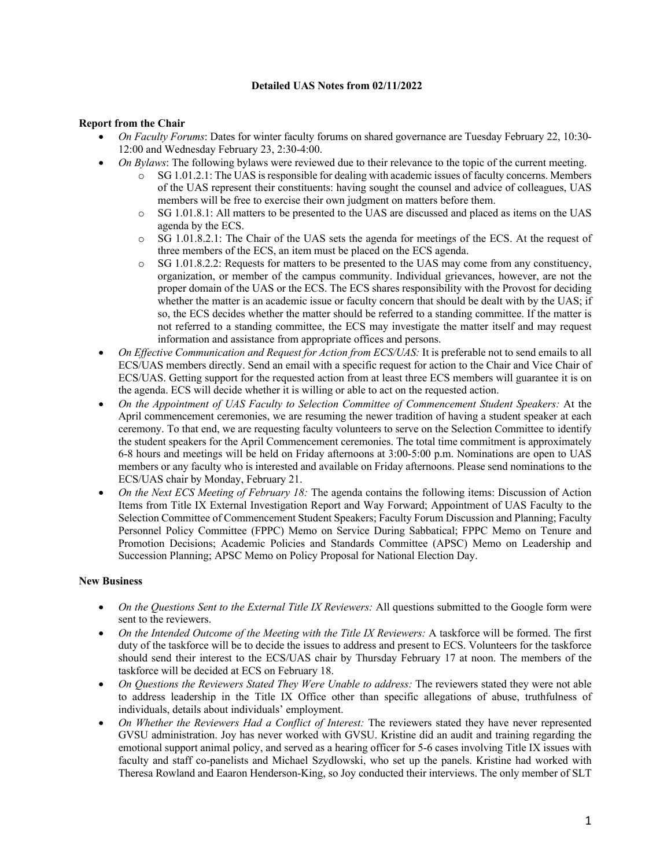## **Detailed UAS Notes from 02/11/2022**

## **Report from the Chair**

- *On Faculty Forums*: Dates for winter faculty forums on shared governance are Tuesday February 22, 10:30- 12:00 and Wednesday February 23, 2:30-4:00.
- *On Bylaws*: The following bylaws were reviewed due to their relevance to the topic of the current meeting.
	- o SG 1.01.2.1: The UAS is responsible for dealing with academic issues of faculty concerns. Members of the UAS represent their constituents: having sought the counsel and advice of colleagues, UAS members will be free to exercise their own judgment on matters before them.
	- o SG 1.01.8.1: All matters to be presented to the UAS are discussed and placed as items on the UAS agenda by the ECS.
	- o SG 1.01.8.2.1: The Chair of the UAS sets the agenda for meetings of the ECS. At the request of three members of the ECS, an item must be placed on the ECS agenda.
	- $\circ$  SG 1.01.8.2.2: Requests for matters to be presented to the UAS may come from any constituency, organization, or member of the campus community. Individual grievances, however, are not the proper domain of the UAS or the ECS. The ECS shares responsibility with the Provost for deciding whether the matter is an academic issue or faculty concern that should be dealt with by the UAS; if so, the ECS decides whether the matter should be referred to a standing committee. If the matter is not referred to a standing committee, the ECS may investigate the matter itself and may request information and assistance from appropriate offices and persons.
- *On Effective Communication and Request for Action from ECS/UAS:* It is preferable not to send emails to all ECS/UAS members directly. Send an email with a specific request for action to the Chair and Vice Chair of ECS/UAS. Getting support for the requested action from at least three ECS members will guarantee it is on the agenda. ECS will decide whether it is willing or able to act on the requested action.
- *On the Appointment of UAS Faculty to Selection Committee of Commencement Student Speakers:* At the April commencement ceremonies, we are resuming the newer tradition of having a student speaker at each ceremony. To that end, we are requesting faculty volunteers to serve on the Selection Committee to identify the student speakers for the April Commencement ceremonies. The total time commitment is approximately 6-8 hours and meetings will be held on Friday afternoons at 3:00-5:00 p.m. Nominations are open to UAS members or any faculty who is interested and available on Friday afternoons. Please send nominations to the ECS/UAS chair by Monday, February 21.
- *On the Next ECS Meeting of February 18:* The agenda contains the following items: Discussion of Action Items from Title IX External Investigation Report and Way Forward; Appointment of UAS Faculty to the Selection Committee of Commencement Student Speakers; Faculty Forum Discussion and Planning; Faculty Personnel Policy Committee (FPPC) Memo on Service During Sabbatical; FPPC Memo on Tenure and Promotion Decisions; Academic Policies and Standards Committee (APSC) Memo on Leadership and Succession Planning; APSC Memo on Policy Proposal for National Election Day.

## **New Business**

- *On the Questions Sent to the External Title IX Reviewers:* All questions submitted to the Google form were sent to the reviewers.
- *On the Intended Outcome of the Meeting with the Title IX Reviewers:* A taskforce will be formed. The first duty of the taskforce will be to decide the issues to address and present to ECS. Volunteers for the taskforce should send their interest to the ECS/UAS chair by Thursday February 17 at noon. The members of the taskforce will be decided at ECS on February 18.
- *On Questions the Reviewers Stated They Were Unable to address:* The reviewers stated they were not able to address leadership in the Title IX Office other than specific allegations of abuse, truthfulness of individuals, details about individuals' employment.
- *On Whether the Reviewers Had a Conflict of Interest:* The reviewers stated they have never represented GVSU administration. Joy has never worked with GVSU. Kristine did an audit and training regarding the emotional support animal policy, and served as a hearing officer for 5-6 cases involving Title IX issues with faculty and staff co-panelists and Michael Szydlowski, who set up the panels. Kristine had worked with Theresa Rowland and Eaaron Henderson-King, so Joy conducted their interviews. The only member of SLT